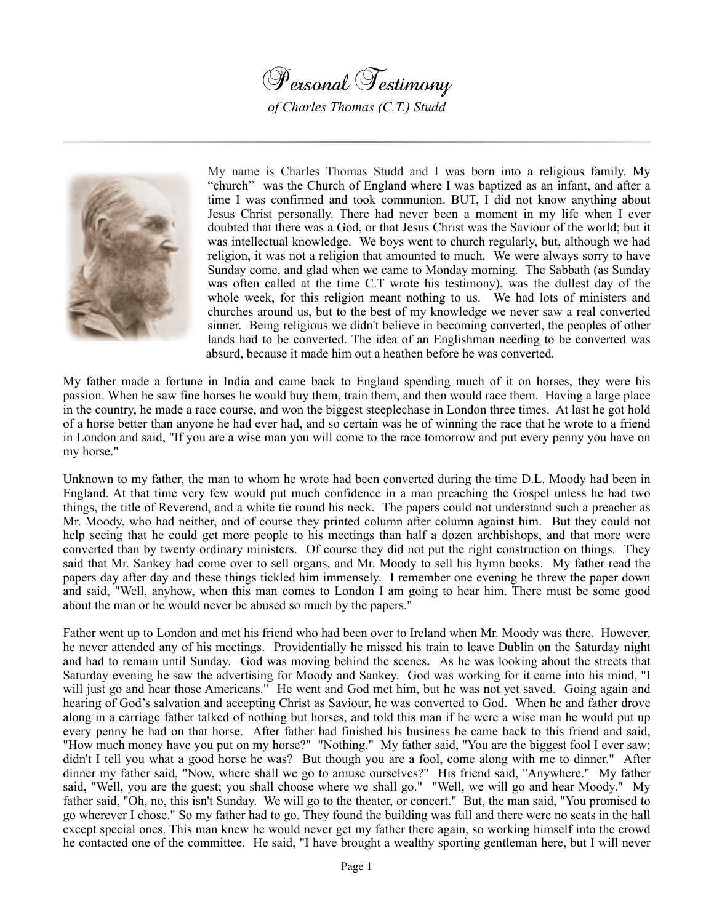



My name is Charles Thomas Studd and I was born into a religious family. My "church" was the Church of England where I was baptized as an infant, and after a time I was confirmed and took communion. BUT, I did not know anything about Jesus Christ personally. There had never been a moment in my life when I ever doubted that there was a God, or that Jesus Christ was the Saviour of the world; but it was intellectual knowledge. We boys went to church regularly, but, although we had religion, it was not a religion that amounted to much. We were always sorry to have Sunday come, and glad when we came to Monday morning. The Sabbath (as Sunday was often called at the time C.T wrote his testimony)**,** was the dullest day of the whole week, for this religion meant nothing to us. We had lots of ministers and churches around us, but to the best of my knowledge we never saw a real converted sinner. Being religious we didn't believe in becoming converted, the peoples of other lands had to be converted. The idea of an Englishman needing to be converted was absurd, because it made him out a heathen before he was converted.

My father made a fortune in India and came back to England spending much of it on horses, they were his passion. When he saw fine horses he would buy them, train them, and then would race them. Having a large place in the country, he made a race course, and won the biggest steeplechase in London three times. At last he got hold of a horse better than anyone he had ever had, and so certain was he of winning the race that he wrote to a friend in London and said, "If you are a wise man you will come to the race tomorrow and put every penny you have on my horse."

Unknown to my father, the man to whom he wrote had been converted during the time D.L. Moody had been in England. At that time very few would put much confidence in a man preaching the Gospel unless he had two things, the title of Reverend, and a white tie round his neck. The papers could not understand such a preacher as Mr. Moody, who had neither, and of course they printed column after column against him. But they could not help seeing that he could get more people to his meetings than half a dozen archbishops, and that more were converted than by twenty ordinary ministers. Of course they did not put the right construction on things. They said that Mr. Sankey had come over to sell organs, and Mr. Moody to sell his hymn books. My father read the papers day after day and these things tickled him immensely. I remember one evening he threw the paper down and said, "Well, anyhow, when this man comes to London I am going to hear him. There must be some good about the man or he would never be abused so much by the papers."

Father went up to London and met his friend who had been over to Ireland when Mr. Moody was there. However, he never attended any of his meetings. Providentially he missed his train to leave Dublin on the Saturday night and had to remain until Sunday. God was moving behind the scenes**.** As he was looking about the streets that Saturday evening he saw the advertising for Moody and Sankey. God was working for it came into his mind, "I will just go and hear those Americans." He went and God met him, but he was not yet saved. Going again and hearing of God's salvation and accepting Christ as Saviour, he was converted to God. When he and father drove along in a carriage father talked of nothing but horses, and told this man if he were a wise man he would put up every penny he had on that horse. After father had finished his business he came back to this friend and said, "How much money have you put on my horse?" "Nothing." My father said, "You are the biggest fool I ever saw; didn't I tell you what a good horse he was? But though you are a fool, come along with me to dinner." After dinner my father said, "Now, where shall we go to amuse ourselves?" His friend said, "Anywhere." My father said, "Well, you are the guest; you shall choose where we shall go." "Well, we will go and hear Moody." My father said, "Oh, no, this isn't Sunday. We will go to the theater, or concert." But, the man said, "You promised to go wherever I chose." So my father had to go. They found the building was full and there were no seats in the hall except special ones. This man knew he would never get my father there again, so working himself into the crowd he contacted one of the committee. He said, "I have brought a wealthy sporting gentleman here, but I will never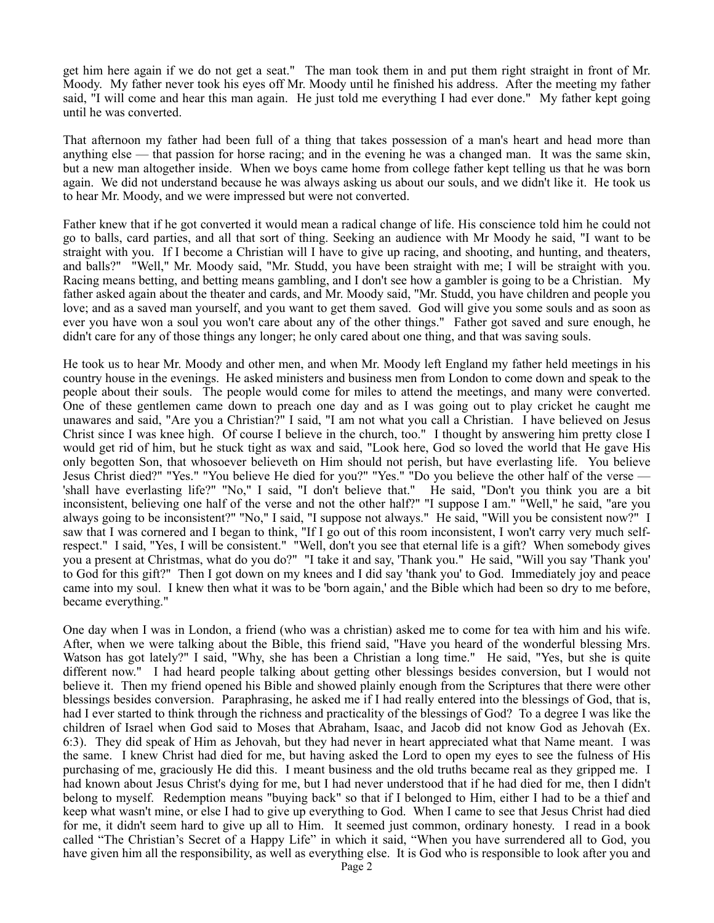get him here again if we do not get a seat." The man took them in and put them right straight in front of Mr. Moody. My father never took his eyes off Mr. Moody until he finished his address. After the meeting my father said, "I will come and hear this man again. He just told me everything I had ever done." My father kept going until he was converted.

That afternoon my father had been full of a thing that takes possession of a man's heart and head more than anything else — that passion for horse racing; and in the evening he was a changed man. It was the same skin, but a new man altogether inside. When we boys came home from college father kept telling us that he was born again. We did not understand because he was always asking us about our souls, and we didn't like it. He took us to hear Mr. Moody, and we were impressed but were not converted.

Father knew that if he got converted it would mean a radical change of life. His conscience told him he could not go to balls, card parties, and all that sort of thing. Seeking an audience with Mr Moody he said, "I want to be straight with you. If I become a Christian will I have to give up racing, and shooting, and hunting, and theaters, and balls?" "Well," Mr. Moody said, "Mr. Studd, you have been straight with me; I will be straight with you. Racing means betting, and betting means gambling, and I don't see how a gambler is going to be a Christian. My father asked again about the theater and cards, and Mr. Moody said, "Mr. Studd, you have children and people you love; and as a saved man yourself, and you want to get them saved. God will give you some souls and as soon as ever you have won a soul you won't care about any of the other things." Father got saved and sure enough, he didn't care for any of those things any longer; he only cared about one thing, and that was saving souls.

He took us to hear Mr. Moody and other men, and when Mr. Moody left England my father held meetings in his country house in the evenings. He asked ministers and business men from London to come down and speak to the people about their souls. The people would come for miles to attend the meetings, and many were converted. One of these gentlemen came down to preach one day and as I was going out to play cricket he caught me unawares and said, "Are you a Christian?" I said, "I am not what you call a Christian. I have believed on Jesus Christ since I was knee high. Of course I believe in the church, too." I thought by answering him pretty close I would get rid of him, but he stuck tight as wax and said, "Look here, God so loved the world that He gave His only begotten Son, that whosoever believeth on Him should not perish, but have everlasting life. You believe Jesus Christ died?" "Yes." "You believe He died for you?" "Yes." "Do you believe the other half of the verse — 'shall have everlasting life?" "No," I said, "I don't believe that." He said, "Don't you think you are a bit inconsistent, believing one half of the verse and not the other half?" "I suppose I am." "Well," he said, "are you always going to be inconsistent?" "No," I said, "I suppose not always." He said, "Will you be consistent now?" I saw that I was cornered and I began to think, "If I go out of this room inconsistent, I won't carry very much selfrespect." I said, "Yes, I will be consistent." "Well, don't you see that eternal life is a gift? When somebody gives you a present at Christmas, what do you do?" "I take it and say, 'Thank you." He said, "Will you say 'Thank you' to God for this gift?" Then I got down on my knees and I did say 'thank you' to God. Immediately joy and peace came into my soul. I knew then what it was to be 'born again,' and the Bible which had been so dry to me before, became everything."

One day when I was in London, a friend (who was a christian) asked me to come for tea with him and his wife. After, when we were talking about the Bible, this friend said, "Have you heard of the wonderful blessing Mrs. Watson has got lately?" I said, "Why, she has been a Christian a long time." He said, "Yes, but she is quite different now." I had heard people talking about getting other blessings besides conversion, but I would not believe it. Then my friend opened his Bible and showed plainly enough from the Scriptures that there were other blessings besides conversion. Paraphrasing, he asked me if I had really entered into the blessings of God, that is, had I ever started to think through the richness and practicality of the blessings of God?To a degree I was like the children of Israel when God said to Moses that Abraham, Isaac, and Jacob did not know God as Jehovah (Ex. 6:3). They did speak of Him as Jehovah, but they had never in heart appreciated what that Name meant. I was the same. I knew Christ had died for me, but having asked the Lord to open my eyes to see the fulness of His purchasing of me, graciously He did this. I meant business and the old truths became real as they gripped me. I had known about Jesus Christ's dying for me, but I had never understood that if he had died for me, then I didn't belong to myself. Redemption means "buying back" so that if I belonged to Him, either I had to be a thief and keep what wasn't mine, or else I had to give up everything to God. When I came to see that Jesus Christ had died for me, it didn't seem hard to give up all to Him. It seemed just common, ordinary honesty. I read in a book called "The Christian's Secret of a Happy Life" in which it said, "When you have surrendered all to God, you have given him all the responsibility, as well as everything else. It is God who is responsible to look after you and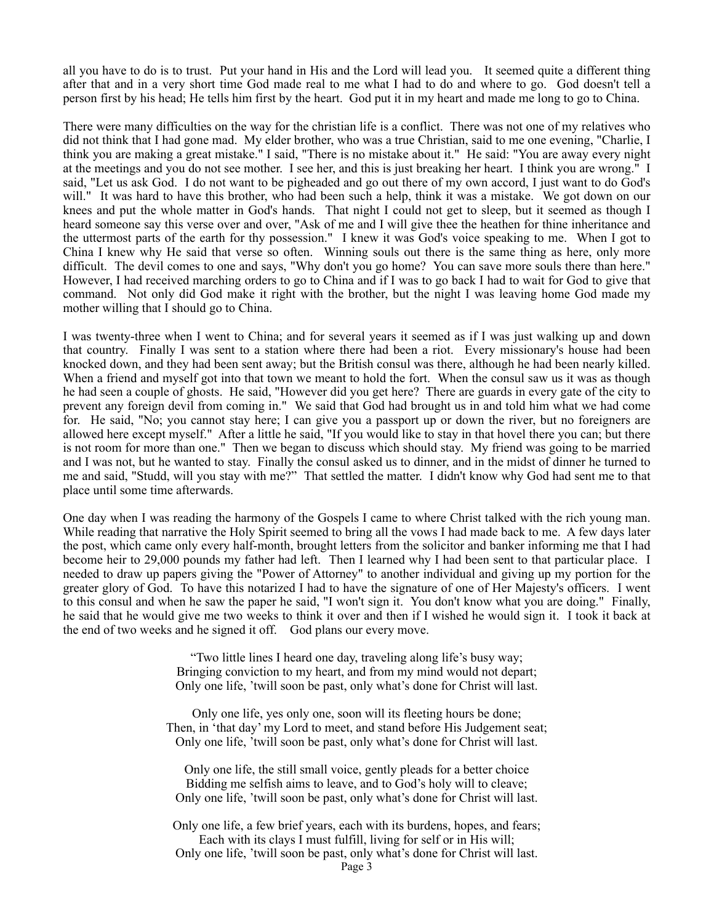all you have to do is to trust. Put your hand in His and the Lord will lead you. It seemed quite a different thing after that and in a very short time God made real to me what I had to do and where to go. God doesn't tell a person first by his head; He tells him first by the heart. God put it in my heart and made me long to go to China.

There were many difficulties on the way for the christian life is a conflict. There was not one of my relatives who did not think that I had gone mad. My elder brother, who was a true Christian, said to me one evening, "Charlie, I think you are making a great mistake." I said, "There is no mistake about it." He said: "You are away every night at the meetings and you do not see mother. I see her, and this is just breaking her heart. I think you are wrong." I said, "Let us ask God. I do not want to be pigheaded and go out there of my own accord, I just want to do God's will." It was hard to have this brother, who had been such a help, think it was a mistake. We got down on our knees and put the whole matter in God's hands. That night I could not get to sleep, but it seemed as though I heard someone say this verse over and over, "Ask of me and I will give thee the heathen for thine inheritance and the uttermost parts of the earth for thy possession." I knew it was God's voice speaking to me. When I got to China I knew why He said that verse so often. Winning souls out there is the same thing as here, only more difficult. The devil comes to one and says, "Why don't you go home? You can save more souls there than here." However, I had received marching orders to go to China and if I was to go back I had to wait for God to give that command. Not only did God make it right with the brother, but the night I was leaving home God made my mother willing that I should go to China.

I was twenty-three when I went to China; and for several years it seemed as if I was just walking up and down that country. Finally I was sent to a station where there had been a riot. Every missionary's house had been knocked down, and they had been sent away; but the British consul was there, although he had been nearly killed. When a friend and myself got into that town we meant to hold the fort. When the consul saw us it was as though he had seen a couple of ghosts. He said, "However did you get here? There are guards in every gate of the city to prevent any foreign devil from coming in." We said that God had brought us in and told him what we had come for. He said, "No; you cannot stay here; I can give you a passport up or down the river, but no foreigners are allowed here except myself." After a little he said, "If you would like to stay in that hovel there you can; but there is not room for more than one." Then we began to discuss which should stay. My friend was going to be married and I was not, but he wanted to stay. Finally the consul asked us to dinner, and in the midst of dinner he turned to me and said, "Studd, will you stay with me?" That settled the matter. I didn't know why God had sent me to that place until some time afterwards.

One day when I was reading the harmony of the Gospels I came to where Christ talked with the rich young man. While reading that narrative the Holy Spirit seemed to bring all the vows I had made back to me. A few days later the post, which came only every half-month, brought letters from the solicitor and banker informing me that I had become heir to 29,000 pounds my father had left. Then I learned why I had been sent to that particular place. I needed to draw up papers giving the "Power of Attorney" to another individual and giving up my portion for the greater glory of God. To have this notarized I had to have the signature of one of Her Majesty's officers. I went to this consul and when he saw the paper he said, "I won't sign it. You don't know what you are doing." Finally, he said that he would give me two weeks to think it over and then if I wished he would sign it. I took it back at the end of two weeks and he signed it off. God plans our every move.

> "Two little lines I heard one day, traveling along life's busy way; Bringing conviction to my heart, and from my mind would not depart; Only one life, 'twill soon be past, only what's done for Christ will last.

Only one life, yes only one, soon will its fleeting hours be done; Then, in 'that day' my Lord to meet, and stand before His Judgement seat; Only one life, 'twill soon be past, only what's done for Christ will last.

Only one life, the still small voice, gently pleads for a better choice Bidding me selfish aims to leave, and to God's holy will to cleave; Only one life, 'twill soon be past, only what's done for Christ will last.

Only one life, a few brief years, each with its burdens, hopes, and fears; Each with its clays I must fulfill, living for self or in His will; Only one life, 'twill soon be past, only what's done for Christ will last.

Page 3